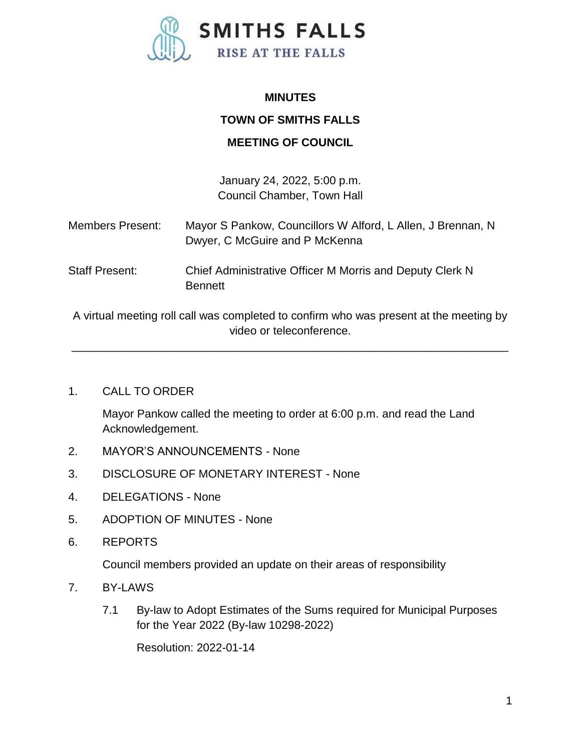

## **MINUTES**

#### **TOWN OF SMITHS FALLS**

### **MEETING OF COUNCIL**

January 24, 2022, 5:00 p.m. Council Chamber, Town Hall

| Members Present:      | Mayor S Pankow, Councillors W Alford, L Allen, J Brennan, N<br>Dwyer, C McGuire and P McKenna |
|-----------------------|-----------------------------------------------------------------------------------------------|
| <b>Staff Present:</b> | Chief Administrative Officer M Morris and Deputy Clerk N<br><b>Bennett</b>                    |

A virtual meeting roll call was completed to confirm who was present at the meeting by video or teleconference.

\_\_\_\_\_\_\_\_\_\_\_\_\_\_\_\_\_\_\_\_\_\_\_\_\_\_\_\_\_\_\_\_\_\_\_\_\_\_\_\_\_\_\_\_\_\_\_\_\_\_\_\_\_\_\_\_\_\_\_\_\_\_\_\_\_\_\_\_\_

#### 1. CALL TO ORDER

Mayor Pankow called the meeting to order at 6:00 p.m. and read the Land Acknowledgement.

- 2. MAYOR'S ANNOUNCEMENTS None
- 3. DISCLOSURE OF MONETARY INTEREST None
- 4. DELEGATIONS None
- 5. ADOPTION OF MINUTES None
- 6. REPORTS

Council members provided an update on their areas of responsibility

- 7. BY-LAWS
	- 7.1 By-law to Adopt Estimates of the Sums required for Municipal Purposes for the Year 2022 (By-law 10298-2022)

Resolution: 2022-01-14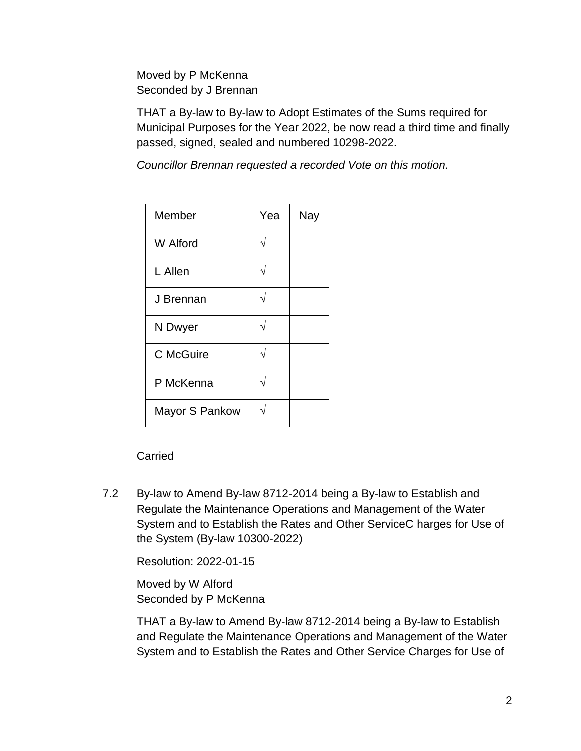Moved by P McKenna Seconded by J Brennan

THAT a By-law to By-law to Adopt Estimates of the Sums required for Municipal Purposes for the Year 2022, be now read a third time and finally passed, signed, sealed and numbered 10298-2022.

*Councillor Brennan requested a recorded Vote on this motion.*

| Member         | Yea | <b>Nay</b> |
|----------------|-----|------------|
| W Alford       |     |            |
| L Allen        |     |            |
| J Brennan      |     |            |
| N Dwyer        |     |            |
| C McGuire      |     |            |
| P McKenna      |     |            |
| Mayor S Pankow |     |            |

# **Carried**

7.2 By-law to Amend By-law 8712-2014 being a By-law to Establish and Regulate the Maintenance Operations and Management of the Water System and to Establish the Rates and Other ServiceC harges for Use of the System (By-law 10300-2022)

Resolution: 2022-01-15

Moved by W Alford Seconded by P McKenna

THAT a By-law to Amend By-law 8712-2014 being a By-law to Establish and Regulate the Maintenance Operations and Management of the Water System and to Establish the Rates and Other Service Charges for Use of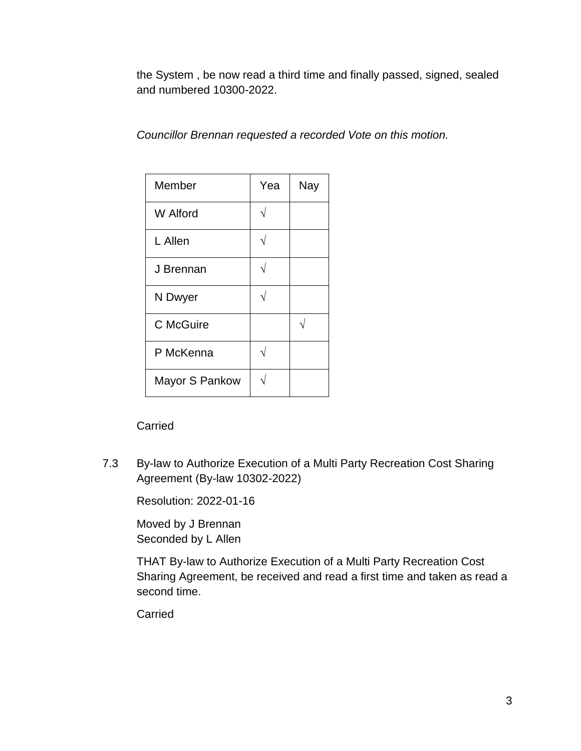the System , be now read a third time and finally passed, signed, sealed and numbered 10300-2022.

*Councillor Brennan requested a recorded Vote on this motion.*

| Member         | Yea | Nay |
|----------------|-----|-----|
| W Alford       |     |     |
| L Allen        |     |     |
| J Brennan      |     |     |
| N Dwyer        |     |     |
| C McGuire      |     |     |
| P McKenna      |     |     |
| Mayor S Pankow |     |     |

Carried

7.3 By-law to Authorize Execution of a Multi Party Recreation Cost Sharing Agreement (By-law 10302-2022)

Resolution: 2022-01-16

Moved by J Brennan Seconded by L Allen

THAT By-law to Authorize Execution of a Multi Party Recreation Cost Sharing Agreement, be received and read a first time and taken as read a second time.

Carried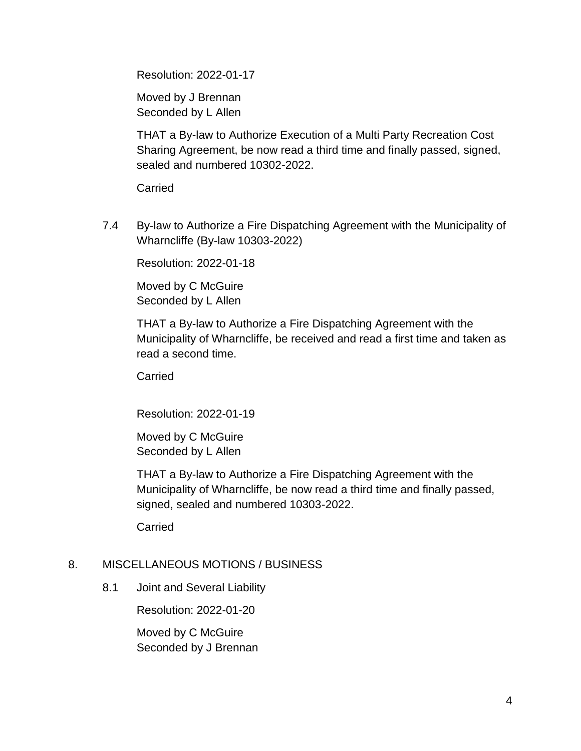Resolution: 2022-01-17

Moved by J Brennan Seconded by L Allen

THAT a By-law to Authorize Execution of a Multi Party Recreation Cost Sharing Agreement, be now read a third time and finally passed, signed, sealed and numbered 10302-2022.

Carried

7.4 By-law to Authorize a Fire Dispatching Agreement with the Municipality of Wharncliffe (By-law 10303-2022)

Resolution: 2022-01-18

Moved by C McGuire Seconded by L Allen

THAT a By-law to Authorize a Fire Dispatching Agreement with the Municipality of Wharncliffe, be received and read a first time and taken as read a second time.

Carried

Resolution: 2022-01-19

Moved by C McGuire Seconded by L Allen

THAT a By-law to Authorize a Fire Dispatching Agreement with the Municipality of Wharncliffe, be now read a third time and finally passed, signed, sealed and numbered 10303-2022.

**Carried** 

#### 8. MISCELLANEOUS MOTIONS / BUSINESS

8.1 Joint and Several Liability

Resolution: 2022-01-20

Moved by C McGuire Seconded by J Brennan